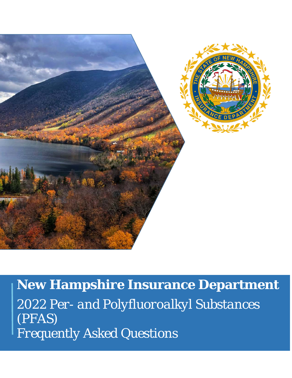

**New Hampshire Insurance Department** *2022 Per- and Polyfluoroalkyl Substances (PFAS) Frequently Asked Questions*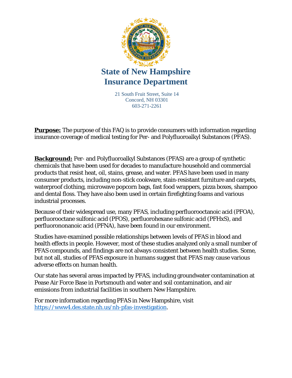

21 South Fruit Street, Suite 14 Concord, NH 03301 603-271-2261

**Purpose:** The purpose of this FAQ is to provide consumers with information regarding insurance coverage of medical testing for Per- and Polyfluoroalkyl Substances (PFAS).

**Background:** Per- and Polyfluoroalkyl Substances (PFAS) are a group of synthetic chemicals that have been used for decades to manufacture household and commercial products that resist heat, oil, stains, grease, and water. PFAS have been used in many consumer products, including non-stick cookware, stain-resistant furniture and carpets, waterproof clothing, microwave popcorn bags, fast food wrappers, pizza boxes, shampoo and dental floss. They have also been used in certain firefighting foams and various industrial processes.

Because of their widespread use, many PFAS, including perfluorooctanoic acid (PFOA), perfluorooctane sulfonic acid (PFOS), perfluorohexane sulfonic acid (PFHxS), and perfluorononanoic acid (PFNA), have been found in our environment.

Studies have examined possible relationships between levels of PFAS in blood and health effects in people. However, most of these studies analyzed only a small number of PFAS compounds, and findings are not always consistent between health studies. Some, but not all, studies of PFAS exposure in humans suggest that PFAS may cause various adverse effects on human health.

Our state has several areas impacted by PFAS, including groundwater contamination at Pease Air Force Base in Portsmouth and water and soil contamination, and air emissions from industrial facilities in southern New Hampshire.

For more information regarding PFAS in New Hampshire, visit [https://www4.des.state.nh.us/nh-pfas-investigation.](https://www4.des.state.nh.us/nh-pfas-investigation)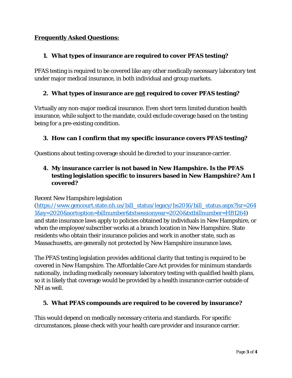# **Frequently Asked Questions:**

## **1. What types of insurance are required to cover PFAS testing?**

PFAS testing is required to be covered like any other medically necessary laboratory test under major medical insurance, in both individual and group markets.

## **2. What types of insurance are not required to cover PFAS testing?**

Virtually any non-major medical insurance. Even short term limited duration health insurance, while subject to the mandate, could exclude coverage based on the testing being for a pre-existing condition.

## **3. How can I confirm that my specific insurance covers PFAS testing?**

Questions about testing coverage should be directed to your insurance carrier.

# **4. My insurance carrier is not based in New Hampshire. Is the PFAS testing legislation specific to insurers based in New Hampshire? Am I covered?**

#### Recent New Hampshire legislation

[\(https://www.gencourt.state.nh.us/bill\\_status/legacy/bs2016/bill\\_status.aspx?lsr=264](https://www.gencourt.state.nh.us/bill_status/legacy/bs2016/bill_status.aspx?lsr=2641&sy=2020&sortoption=billnumber&txtsessionyear=2020&txtbillnumber=HB1264) [1&sy=2020&sortoption=billnumber&txtsessionyear=2020&txtbillnumber=HB1264\)](https://www.gencourt.state.nh.us/bill_status/legacy/bs2016/bill_status.aspx?lsr=2641&sy=2020&sortoption=billnumber&txtsessionyear=2020&txtbillnumber=HB1264) and state insurance laws apply to policies obtained by individuals in New Hampshire, or when the employee/subscriber works at a branch location in New Hampshire. State residents who obtain their insurance policies and work in another state, such as Massachusetts, are generally not protected by New Hampshire insurance laws.

The PFAS testing legislation provides additional clarity that testing is required to be covered in New Hampshire. The Affordable Care Act provides for minimum standards nationally, including medically necessary laboratory testing with qualified health plans, so it is likely that coverage would be provided by a health insurance carrier outside of NH as well.

#### **5. What PFAS compounds are required to be covered by insurance?**

This would depend on medically necessary criteria and standards. For specific circumstances, please check with your health care provider and insurance carrier.